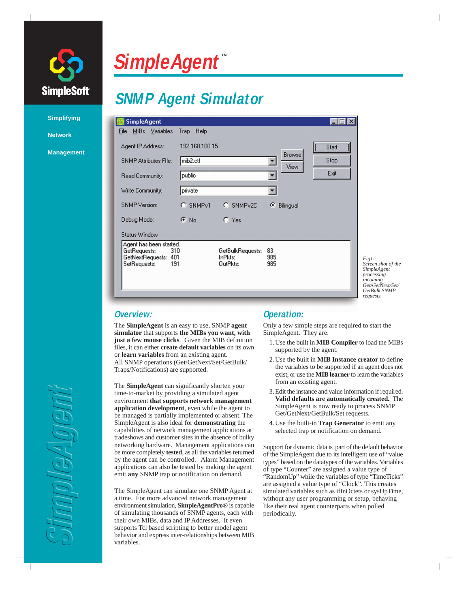

**Simplifying**

**Management**

**Network**

# **SimpleAgent**

## **SNMP Agent Simulator**

| <b>SimpleAgent</b>                                                                               |                          |                                         |                  |                |       |                                                                                          |
|--------------------------------------------------------------------------------------------------|--------------------------|-----------------------------------------|------------------|----------------|-------|------------------------------------------------------------------------------------------|
| MIBs Variables<br>File                                                                           | Trap Help                |                                         |                  |                |       |                                                                                          |
| Agent IP Address:                                                                                | 192.168.100.15           |                                         |                  |                | Start |                                                                                          |
| <b>SNMP Attributes Flie:</b>                                                                     | mib2.ctl                 |                                         |                  | Browse<br>View | Stop  |                                                                                          |
| Read Community:                                                                                  | public                   |                                         |                  |                | Exit  |                                                                                          |
| Write Community:                                                                                 | private                  |                                         |                  |                |       |                                                                                          |
| <b>SNMP</b> Version:                                                                             | SNMP <sub>v1</sub><br>C. | C SNMP <sub>v2C</sub>                   | €                | Bilingual      |       |                                                                                          |
| Debug Mode:                                                                                      | $\epsilon$ No            | $C$ Yes                                 |                  |                |       |                                                                                          |
| Status Window                                                                                    |                          |                                         |                  |                |       |                                                                                          |
| Agent has been started.<br>GetRequests:<br>310<br>GetNextRequests:<br>401<br>SetRequests:<br>191 |                          | GetBulkRequests:<br>InPkts:<br>OutPkts: | 83<br>985<br>985 |                |       | Fig1:<br>Screen shot of the<br>SimpleAgent<br>processing<br>incoming<br>Get/GetNext/Set/ |
|                                                                                                  |                          |                                         |                  |                |       | GetBulk SNMP<br>requests                                                                 |

**Overview:**

The **SimpleAgent** is an easy to use, SNMP **agent simulator** that supports **the MIBs you want, with just a few mouse clicks**. Given the MIB definition files, it can either **create default variables** on its own or **learn variables** from an existing agent. All SNMP operations (Get/GetNext/Set/GetBulk/ Traps/Notifications) are supported.

The **SimpleAgent** can significantly shorten your time-to-market by providing a simulated agent environment **that supports network management application development**, even while the agent to be managed is partially implemented or absent. The SimpleAgent is also ideal for **demonstrating** the capabilities of network management applications at tradeshows and customer sites in the absence of bulky networking hardware. Management applications can be more completely **tested**, as all the variables returned by the agent can be controlled. Alarm Management applications can also be tested by making the agent emit **any** SNMP trap or notification on demand.

The SimpleAgent can simulate one SNMP Agent at a time. For more advanced network management environment simulation, **SimpleAgentPro**® is capable of simulating thousands of SNMP agents, each with their own MIBs, data and IP Addresses. It even supports Tcl based scripting to better model agent behavior and express inter-relationships between MIB variables.

### **Operation:**

Only a few simple steps are required to start the SimpleAgent. They are:

1. Use the built in **MIB Compiler** to load the MIBs supported by the agent.

- 2. Use the built in **MIB Instance creator** to define the variables to be supported if an agent does not exist, or use the **MIB learner** to learn the variables from an existing agent.
- 3. Edit the instance and value information if required. **Valid defaults are automatically created.** The SimpleAgent is now ready to process SNMP Get/GetNext/GetBulk/Set requests.
- 4. Use the built-in **Trap Generator** to emit any selected trap or notification on demand.

Support for dynamic data is part of the default behavior of the SimpleAgent due to its intelligent use of "value types" based on the datatypes of the variables. Variables of type "Counter" are assigned a value type of "RandomUp" while the variables of type "TimeTicks" are assigned a value type of "Clock". This creates simulated variables such as ifInOctets or sysUpTime, without any user programming or setup, behaving like their real agent counterparts when polled periodically.